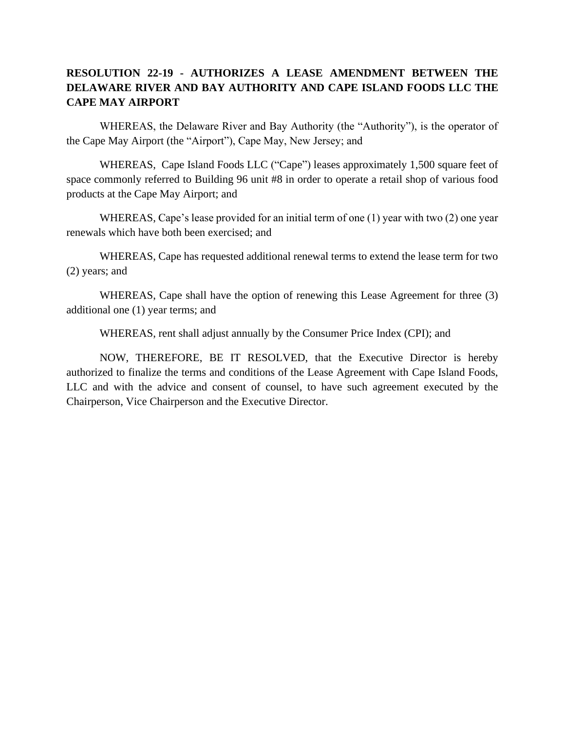## **RESOLUTION 22-19 - AUTHORIZES A LEASE AMENDMENT BETWEEN THE DELAWARE RIVER AND BAY AUTHORITY AND CAPE ISLAND FOODS LLC THE CAPE MAY AIRPORT**

WHEREAS, the Delaware River and Bay Authority (the "Authority"), is the operator of the Cape May Airport (the "Airport"), Cape May, New Jersey; and

WHEREAS, Cape Island Foods LLC ("Cape") leases approximately 1,500 square feet of space commonly referred to Building 96 unit #8 in order to operate a retail shop of various food products at the Cape May Airport; and

WHEREAS, Cape's lease provided for an initial term of one (1) year with two (2) one year renewals which have both been exercised; and

WHEREAS, Cape has requested additional renewal terms to extend the lease term for two (2) years; and

WHEREAS, Cape shall have the option of renewing this Lease Agreement for three (3) additional one (1) year terms; and

WHEREAS, rent shall adjust annually by the Consumer Price Index (CPI); and

NOW, THEREFORE, BE IT RESOLVED, that the Executive Director is hereby authorized to finalize the terms and conditions of the Lease Agreement with Cape Island Foods, LLC and with the advice and consent of counsel, to have such agreement executed by the Chairperson, Vice Chairperson and the Executive Director.